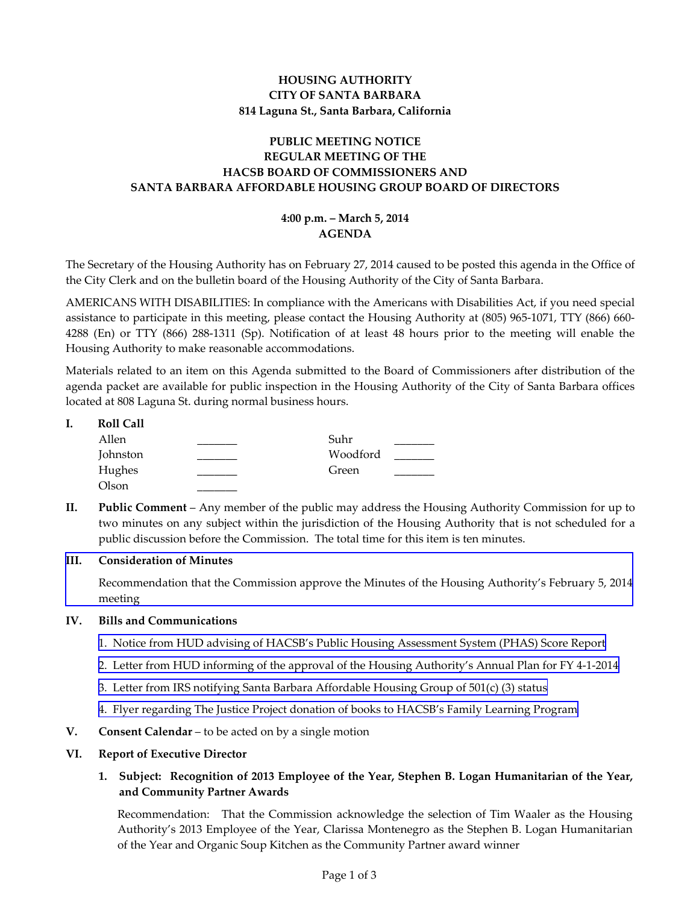# **HOUSING AUTHORITY CITY OF SANTA BARBARA 814 Laguna St., Santa Barbara, California**

# **PUBLIC MEETING NOTICE REGULAR MEETING OF THE HACSB BOARD OF COMMISSIONERS AND SANTA BARBARA AFFORDABLE HOUSING GROUP BOARD OF DIRECTORS**

### **4:00 p.m. – March 5, 2014 AGENDA**

The Secretary of the Housing Authority has on February 27, 2014 caused to be posted this agenda in the Office of the City Clerk and on the bulletin board of the Housing Authority of the City of Santa Barbara.

AMERICANS WITH DISABILITIES: In compliance with the Americans with Disabilities Act, if you need special assistance to participate in this meeting, please contact the Housing Authority at (805) 965-1071, TTY (866) 660- 4288 (En) or TTY (866) 288-1311 (Sp). Notification of at least 48 hours prior to the meeting will enable the Housing Authority to make reasonable accommodations.

Materials related to an item on this Agenda submitted to the Board of Commissioners after distribution of the agenda packet are available for public inspection in the Housing Authority of the City of Santa Barbara offices located at 808 Laguna St. during normal business hours.

**I. Roll Call** 

| Allen    | Suhr     |
|----------|----------|
| Johnston | Woodford |
| Hughes   | Green    |
| Olson    |          |

**II. Public Comment** – Any member of the public may address the Housing Authority Commission for up to two minutes on any subject within the jurisdiction of the Housing Authority that is not scheduled for a public discussion before the Commission. The total time for this item is ten minutes.

### **III. Consideration of Minutes**

[Recommendation that the Commission approve the Minutes of the Housing Authority's February 5, 2014](www.hacsb.org/Library/agendas_minutes/2014/agenda_packet/Agenda_Packet_2014_03_05/item_III_I_2014_03_05.pdf) meeting

### **IV. Bills and Communications**

- [1. Notice from HUD advising of HACSB's Public Housing Assessment System \(PHAS\) Score Report](http://www.hacsb.org/Library/agendas_minutes/2014/agenda_packet/Agenda_Packet_2014_03_05/item_IV_I_2014_03_05.pdf)
- [2. Letter from HUD informing of the approval of the Housing Authority's Annual Plan for FY 4-1-2014](http://www.hacsb.org/Library/agendas_minutes/2014/agenda_packet/Agenda_Packet_2014_03_05/item_IV_II_2014_03_05.pdf)
- [3. Letter from IRS notifying Santa Barbara Affordable Housing Group of 501\(c\) \(3\) status](http://www.hacsb.org/Library/agendas_minutes/2014/agenda_packet/Agenda_Packet_2014_03_05/item_IV_III_2014_03_05.pdf)
- [4. Flyer regarding The Justice Project donation of books to HACSB's Family Learning Program](http://www.hacsb.org/Library/agendas_minutes/2014/agenda_packet/Agenda_Packet_2014_03_05/item_IV_IV_2014_03_05.pdf)
- **V. Consent Calendar** to be acted on by a single motion

### **VI. Report of Executive Director**

**1. Subject: Recognition of 2013 Employee of the Year, Stephen B. Logan Humanitarian of the Year, and Community Partner Awards** 

Recommendation: That the Commission acknowledge the selection of Tim Waaler as the Housing Authority's 2013 Employee of the Year, Clarissa Montenegro as the Stephen B. Logan Humanitarian of the Year and Organic Soup Kitchen as the Community Partner award winner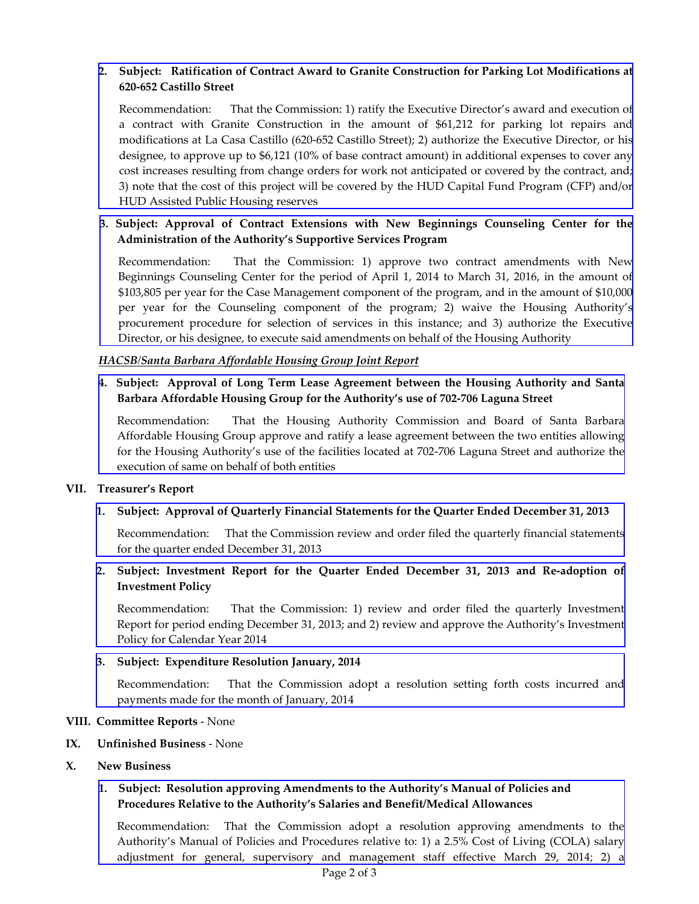## **2. [Subject: Ratification of Contract Award to Granite Construction for Parking Lot Modifications at](http://www.hacsb.org/Library/agendas_minutes/2014/agenda_packet/Agenda_Packet_2014_03_05/item_VI_II_2014_03_05.pdf) 620-652 Castillo Street**

Recommendation: That the Commission: 1) ratify the Executive Director's award and execution of a contract with Granite Construction in the amount of \$61,212 for parking lot repairs and modifications at La Casa Castillo (620-652 Castillo Street); 2) authorize the Executive Director, or his designee, to approve up to \$6,121 (10% of base contract amount) in additional expenses to cover any cost increases resulting from change orders for work not anticipated or covered by the contract, and; 3) note that the cost of this project will be covered by the HUD Capital Fund Program (CFP) and/or HUD Assisted Public Housing reserves

### **[3. Subject: Approval of Contract Extensions with New Beginnings Counseling Center for the](http://www.hacsb.org/Library/agendas_minutes/2014/agenda_packet/Agenda_Packet_2014_03_05/item_VI_III_2014_03_05.pdf) Administration of the Authority's Supportive Services Program**

Recommendation: That the Commission: 1) approve two contract amendments with New Beginnings Counseling Center for the period of April 1, 2014 to March 31, 2016, in the amount of \$103,805 per year for the Case Management component of the program, and in the amount of \$10,000 per year for the Counseling component of the program; 2) waive the Housing Authority's procurement procedure for selection of services in this instance; and 3) authorize the Executive Director, or his designee, to execute said amendments on behalf of the Housing Authority

#### *HACSB/Santa Barbara Affordable Housing Group Joint Report*

## **[4. Subject: Approval of Long Term Lease Agreement between the Housing Authority and Santa](http://www.hacsb.org/Library/agendas_minutes/2014/agenda_packet/Agenda_Packet_2014_03_05/item_VI_IV_2014_03_05.pdf) Barbara Affordable Housing Group for the Authority's use of 702-706 Laguna Street**

Recommendation: That the Housing Authority Commission and Board of Santa Barbara Affordable Housing Group approve and ratify a lease agreement between the two entities allowing for the Housing Authority's use of the facilities located at 702-706 Laguna Street and authorize the execution of same on behalf of both entities

#### **VII. Treasurer's Report**

### **1. Subject: Approval of Quarterly Financial Statements for the Quarter Ended December 31, 2013**

[Recommendation: That the Commission review and order filed the quarterly financial statements](http://www.hacsb.org/Library/agendas_minutes/2014/agenda_packet/Agenda_Packet_2014_03_05/item_VII_I_2014_03_05.pdf) for the quarter ended December 31, 2013

# **2. Subject: Investment Report for the Quarter Ended December 31, 2013 and Re-adoption of Investment Policy**

[Recommendation: That the Commission: 1\) review and order filed the quarterly Investment](http://www.hacsb.org/Library/agendas_minutes/2014/agenda_packet/Agenda_Packet_2014_03_05/item_VII_II_2014_03_05.pdf) Report for period ending December 31, 2013; and 2) review and approve the Authority's Investment Policy for Calendar Year 2014

#### **3. Subject: Expenditure Resolution January, 2014**

[Recommendation: That the Commission adopt a resolution setting forth costs incurred and](http://www.hacsb.org/Library/agendas_minutes/2014/agenda_packet/Agenda_Packet_2014_03_05/item_VII_III_2014_03_05.pdf) payments made for the month of January, 2014

#### **VIII. Committee Reports** - None

#### **IX. Unfinished Business** - None

**X. New Business** 

# **1. Subject: Resolution approving Amendments to the Authority's Manual of Policies and Procedures Relative to the Authority's Salaries and Benefit/Medical Allowances**

[Recommendation: That the Commission adopt a resolution approving amendments to the](http://www.hacsb.org/Library/agendas_minutes/2014/agenda_packet/Agenda_Packet_2014_03_05/item_X_I_2014_03_05.pdf) Authority's Manual of Policies and Procedures relative to: 1) a 2.5% Cost of Living (COLA) salary adjustment for general, supervisory and management staff effective March 29, 2014; 2) a